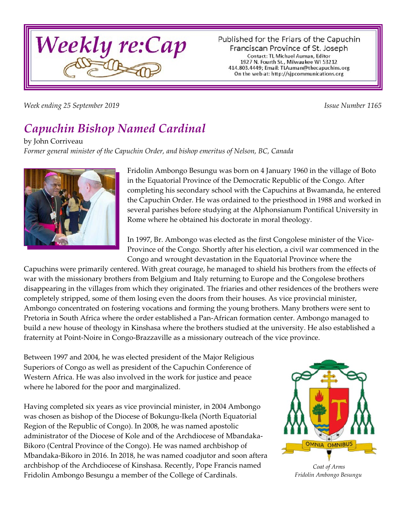

Published for the Friars of the Capuchin Franciscan Province of St. Joseph Contact: TL Michael Auman, Editor 1927 N. Fourth St., Milwaukee WI 53212 414.803.4449; Email: TLAuman@thecapuchins.org On the web at: http://sjpcommunications.org

*Week ending 25 September 2019 Issue Number 1165*

# *Capuchin Bishop Named Cardinal*

by John Corriveau

*Former general minister of the Capuchin Order, and bishop emeritus of Nelson, BC, Canada*



Fridolin Ambongo Besungu was born on 4 January 1960 in the village of Boto in the Equatorial Province of the Democratic Republic of the Congo. After completing his secondary school with the Capuchins at Bwamanda, he entered the Capuchin Order. He was ordained to the priesthood in 1988 and worked in several parishes before studying at the Alphonsianum Pontifical University in Rome where he obtained his doctorate in moral theology.

In 1997, Br. Ambongo was elected as the first Congolese minister of the Vice-Province of the Congo. Shortly after his election, a civil war commenced in the Congo and wrought devastation in the Equatorial Province where the

Capuchins were primarily centered. With great courage, he managed to shield his brothers from the effects of war with the missionary brothers from Belgium and Italy returning to Europe and the Congolese brothers disappearing in the villages from which they originated. The friaries and other residences of the brothers were completely stripped, some of them losing even the doors from their houses. As vice provincial minister, Ambongo concentrated on fostering vocations and forming the young brothers. Many brothers were sent to Pretoria in South Africa where the order established a Pan-African formation center. Ambongo managed to build a new house of theology in Kinshasa where the brothers studied at the university. He also established a fraternity at Point-Noire in Congo-Brazzaville as a missionary outreach of the vice province.

Between 1997 and 2004, he was elected president of the Major Religious Superiors of Congo as well as president of the Capuchin Conference of Western Africa. He was also involved in the work for justice and peace where he labored for the poor and marginalized.

Having completed six years as vice provincial minister, in 2004 Ambongo was chosen as bishop of the Diocese of Bokungu-Ikela (North Equatorial Region of the Republic of Congo). In 2008, he was named apostolic administrator of the Diocese of Kole and of the Archdiocese of Mbandaka-Bikoro (Central Province of the Congo). He was named archbishop of Mbandaka-Bikoro in 2016. In 2018, he was named coadjutor and soon aftera archbishop of the Archdiocese of Kinshasa. Recently, Pope Francis named Fridolin Ambongo Besungu a member of the College of Cardinals.



*Coat of Arms Fridolin Ambongo Besungu*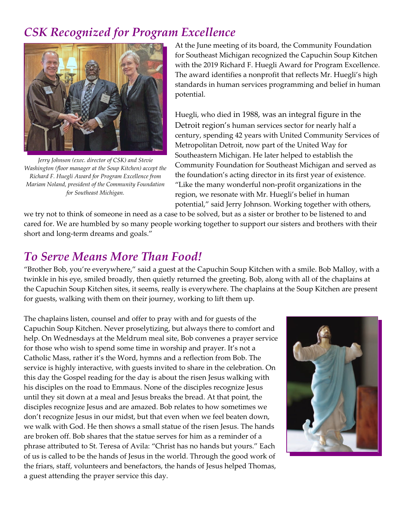### *CSK Recognized for Program Excellence*



*Jerry Johnson (exec. director of CSK) and Stevie Washington (floor manager at the Soup Kitchen) accept the Richard F. Huegli Award for Program Excellence from Mariam Noland, president of the Community Foundation for Southeast Michigan.*

At the June meeting of its board, the Community Foundation for Southeast Michigan recognized the Capuchin Soup Kitchen with the 2019 Richard F. Huegli Award for Program Excellence. The award identifies a nonprofit that reflects Mr. Huegli's high standards in human services programming and belief in human potential.

Huegli, who died in 1988, was an integral figure in the Detroit region's human services sector for nearly half a century, spending 42 years with United Community Services of Metropolitan Detroit, now part of the United Way for Southeastern Michigan. He later helped to establish the Community Foundation for Southeast Michigan and served as the foundation's acting director in its first year of existence. "Like the many wonderful non-profit organizations in the region, we resonate with Mr. Huegli's belief in human potential," said Jerry Johnson. Working together with others,

we try not to think of someone in need as a case to be solved, but as a sister or brother to be listened to and cared for. We are humbled by so many people working together to support our sisters and brothers with their short and long-term dreams and goals."

#### *To Serve Means More Than Food!*

"Brother Bob, you're everywhere," said a guest at the Capuchin Soup Kitchen with a smile. Bob Malloy, with a twinkle in his eye, smiled broadly, then quietly returned the greeting. Bob, along with all of the chaplains at the Capuchin Soup Kitchen sites, it seems, really is everywhere. The chaplains at the Soup Kitchen are present for guests, walking with them on their journey, working to lift them up.

The chaplains listen, counsel and offer to pray with and for guests of the Capuchin Soup Kitchen. Never proselytizing, but always there to comfort and help. On Wednesdays at the Meldrum meal site, Bob convenes a prayer service for those who wish to spend some time in worship and prayer. It's not a Catholic Mass, rather it's the Word, hymns and a reflection from Bob. The service is highly interactive, with guests invited to share in the celebration. On this day the Gospel reading for the day is about the risen Jesus walking with his disciples on the road to Emmaus. None of the disciples recognize Jesus until they sit down at a meal and Jesus breaks the bread. At that point, the disciples recognize Jesus and are amazed. Bob relates to how sometimes we don't recognize Jesus in our midst, but that even when we feel beaten down, we walk with God. He then shows a small statue of the risen Jesus. The hands are broken off. Bob shares that the statue serves for him as a reminder of a phrase attributed to St. Teresa of Avila: "Christ has no hands but yours." Each of us is called to be the hands of Jesus in the world. Through the good work of the friars, staff, volunteers and benefactors, the hands of Jesus helped Thomas, a guest attending the prayer service this day.

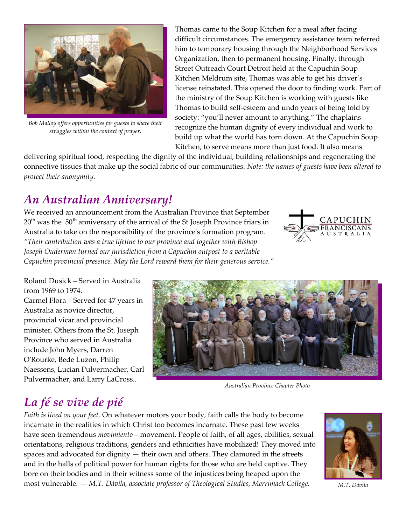

*Bob Malloy offers opportunities for guests to share their struggles within the context of prayer.*

Thomas came to the Soup Kitchen for a meal after facing difficult circumstances. The emergency assistance team referred him to temporary housing through the Neighborhood Services Organization, then to permanent housing. Finally, through Street Outreach Court Detroit held at the Capuchin Soup Kitchen Meldrum site, Thomas was able to get his driver's license reinstated. This opened the door to finding work. Part of the ministry of the Soup Kitchen is working with guests like Thomas to build self-esteem and undo years of being told by society: "you'll never amount to anything." The chaplains recognize the human dignity of every individual and work to build up what the world has torn down. At the Capuchin Soup Kitchen, to serve means more than just food. It also means

delivering spiritual food, respecting the dignity of the individual, building relationships and regenerating the connective tissues that make up the social fabric of our communities. *Note: the names of guests have been altered to protect their anonymity.* 

### *An Australian Anniversary!*

We received an announcement from the Australian Province that September  $20<sup>th</sup>$  was the 50<sup>th</sup> anniversary of the arrival of the St Joseph Province friars in Australia to take on the responsibility of the province's formation program. *"Their contribution was a true lifeline to our province and together with Bishop Joseph Ouderman turned our jurisdiction from a Capuchin outpost to a veritable Capuchin provincial presence. May the Lord reward them for their generous service."*



Roland Dusick – Served in Australia from 1969 to 1974. Carmel Flora – Served for 47 years in Australia as novice director, provincial vicar and provincial minister. Others from the St. Joseph Province who served in Australia include John Myers, Darren O'Rourke, Bede Luzon, Philip Naessens, Lucian Pulvermacher, Carl Pulvermacher, and Larry LaCross..



*Australian Province Chapter Photo*

## *La fé se vive de pié*

*Faith is lived on your feet.* On whatever motors your body, faith calls the body to become incarnate in the realities in which Christ too becomes incarnate. These past few weeks have seen tremendous *movimiento* – movement. People of faith, of all ages, abilities, sexual orientations, religious traditions, genders and ethnicities have mobilized! They moved into spaces and advocated for dignity — their own and others. They clamored in the streets and in the halls of political power for human rights for those who are held captive. They bore on their bodies and in their witness some of the injustices being heaped upon the most vulnerable. — *M.T. Dávila, associate professor of Theological Studies, Merrimack College.*



*M.T. Dávila*